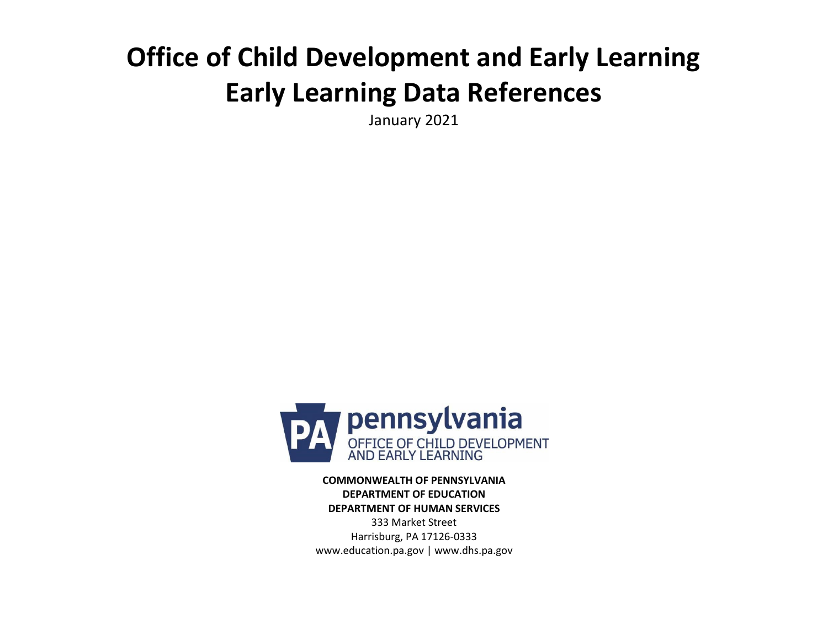## **Office of Child Development and Early Learning Early Learning Data References**

January 2021



**COMMONWEALTH OF PENNSYLVANIA DEPARTMENT OF EDUCATION DEPARTMENT OF HUMAN SERVICES** 333 Market Street Harrisburg, PA 17126-0333 [www.education.pa.gov |](http://www.education.pa.gov/) [www.dhs.pa.gov](http://www.dhs.pa.gov/)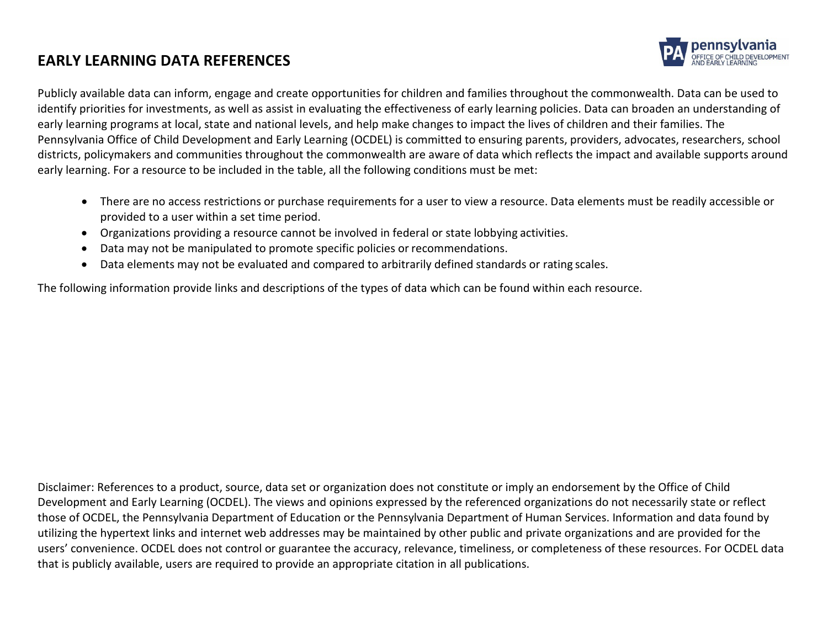## **EARLY LEARNING DATA REFERENCES**



Publicly available data can inform, engage and create opportunities for children and families throughout the commonwealth. Data can be used to identify priorities for investments, as well as assist in evaluating the effectiveness of early learning policies. Data can broaden an understanding of early learning programs at local, state and national levels, and help make changes to impact the lives of children and their families. The Pennsylvania Office of Child Development and Early Learning (OCDEL) is committed to ensuring parents, providers, advocates, researchers, school districts, policymakers and communities throughout the commonwealth are aware of data which reflects the impact and available supports around early learning. For a resource to be included in the table, all the following conditions must be met:

- There are no access restrictions or purchase requirements for a user to view a resource. Data elements must be readily accessible or provided to a user within a set time period.
- Organizations providing a resource cannot be involved in federal or state lobbying activities.
- Data may not be manipulated to promote specific policies or recommendations.
- Data elements may not be evaluated and compared to arbitrarily defined standards or rating scales.

The following information provide links and descriptions of the types of data which can be found within each resource.

Disclaimer: References to a product, source, data set or organization does not constitute or imply an endorsement by the Office of Child Development and Early Learning (OCDEL). The views and opinions expressed by the referenced organizations do not necessarily state or reflect those of OCDEL, the Pennsylvania Department of Education or the Pennsylvania Department of Human Services. Information and data found by utilizing the hypertext links and internet web addresses may be maintained by other public and private organizations and are provided for the users' convenience. OCDEL does not control or guarantee the accuracy, relevance, timeliness, or completeness of these resources. For OCDEL data that is publicly available, users are required to provide an appropriate citation in all publications.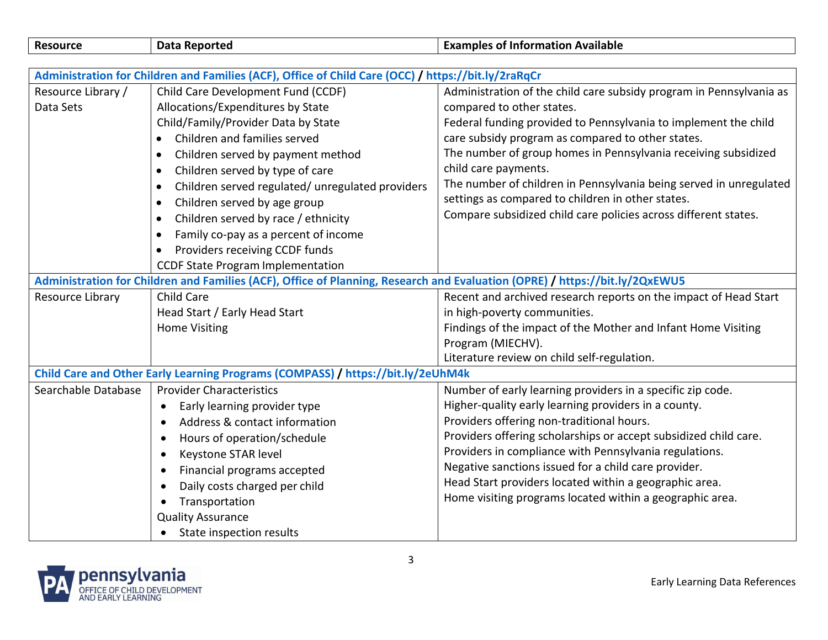| <b>Data Reported</b>                                                                                                        | <b>Examples of Information Available</b>                                                                                                                                                                                                                            |  |  |
|-----------------------------------------------------------------------------------------------------------------------------|---------------------------------------------------------------------------------------------------------------------------------------------------------------------------------------------------------------------------------------------------------------------|--|--|
|                                                                                                                             |                                                                                                                                                                                                                                                                     |  |  |
|                                                                                                                             |                                                                                                                                                                                                                                                                     |  |  |
|                                                                                                                             | Administration of the child care subsidy program in Pennsylvania as                                                                                                                                                                                                 |  |  |
| Allocations/Expenditures by State                                                                                           | compared to other states.                                                                                                                                                                                                                                           |  |  |
|                                                                                                                             | Federal funding provided to Pennsylvania to implement the child                                                                                                                                                                                                     |  |  |
| Children and families served<br>$\bullet$                                                                                   | care subsidy program as compared to other states.                                                                                                                                                                                                                   |  |  |
| Children served by payment method<br>$\bullet$                                                                              | The number of group homes in Pennsylvania receiving subsidized                                                                                                                                                                                                      |  |  |
| Children served by type of care<br>$\bullet$                                                                                | child care payments.                                                                                                                                                                                                                                                |  |  |
| Children served regulated/ unregulated providers<br>$\bullet$                                                               | The number of children in Pennsylvania being served in unregulated                                                                                                                                                                                                  |  |  |
| Children served by age group<br>$\bullet$                                                                                   | settings as compared to children in other states.                                                                                                                                                                                                                   |  |  |
| Children served by race / ethnicity<br>$\bullet$                                                                            | Compare subsidized child care policies across different states.                                                                                                                                                                                                     |  |  |
| Family co-pay as a percent of income<br>$\bullet$                                                                           |                                                                                                                                                                                                                                                                     |  |  |
| Providers receiving CCDF funds                                                                                              |                                                                                                                                                                                                                                                                     |  |  |
| <b>CCDF State Program Implementation</b>                                                                                    |                                                                                                                                                                                                                                                                     |  |  |
| Administration for Children and Families (ACF), Office of Planning, Research and Evaluation (OPRE) / https://bit.ly/2QxEWU5 |                                                                                                                                                                                                                                                                     |  |  |
| <b>Child Care</b>                                                                                                           | Recent and archived research reports on the impact of Head Start                                                                                                                                                                                                    |  |  |
| Head Start / Early Head Start                                                                                               | in high-poverty communities.                                                                                                                                                                                                                                        |  |  |
| <b>Home Visiting</b>                                                                                                        | Findings of the impact of the Mother and Infant Home Visiting                                                                                                                                                                                                       |  |  |
|                                                                                                                             | Program (MIECHV).                                                                                                                                                                                                                                                   |  |  |
|                                                                                                                             | Literature review on child self-regulation.                                                                                                                                                                                                                         |  |  |
|                                                                                                                             |                                                                                                                                                                                                                                                                     |  |  |
| <b>Provider Characteristics</b>                                                                                             | Number of early learning providers in a specific zip code.                                                                                                                                                                                                          |  |  |
| Early learning provider type<br>$\bullet$                                                                                   | Higher-quality early learning providers in a county.                                                                                                                                                                                                                |  |  |
| Address & contact information<br>$\bullet$                                                                                  | Providers offering non-traditional hours.                                                                                                                                                                                                                           |  |  |
| Hours of operation/schedule<br>$\bullet$                                                                                    | Providers offering scholarships or accept subsidized child care.                                                                                                                                                                                                    |  |  |
| Keystone STAR level                                                                                                         | Providers in compliance with Pennsylvania regulations.                                                                                                                                                                                                              |  |  |
| Financial programs accepted<br>$\bullet$                                                                                    | Negative sanctions issued for a child care provider.                                                                                                                                                                                                                |  |  |
| Daily costs charged per child<br>$\bullet$                                                                                  | Head Start providers located within a geographic area.                                                                                                                                                                                                              |  |  |
| Transportation<br>$\bullet$                                                                                                 | Home visiting programs located within a geographic area.                                                                                                                                                                                                            |  |  |
| <b>Quality Assurance</b>                                                                                                    |                                                                                                                                                                                                                                                                     |  |  |
| State inspection results                                                                                                    |                                                                                                                                                                                                                                                                     |  |  |
|                                                                                                                             | Administration for Children and Families (ACF), Office of Child Care (OCC) / https://bit.ly/2raRqCr<br>Child Care Development Fund (CCDF)<br>Child/Family/Provider Data by State<br>Child Care and Other Early Learning Programs (COMPASS) / https://bit.ly/2eUhM4k |  |  |

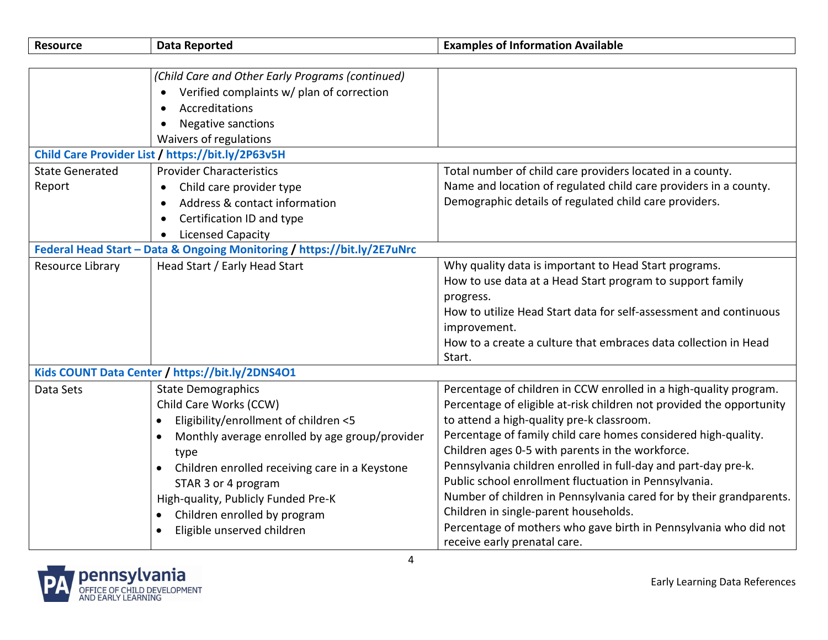| <b>Resource</b>        | <b>Data Reported</b>                                                    | <b>Examples of Information Available</b>                             |
|------------------------|-------------------------------------------------------------------------|----------------------------------------------------------------------|
|                        |                                                                         |                                                                      |
|                        | (Child Care and Other Early Programs (continued)                        |                                                                      |
|                        | Verified complaints w/ plan of correction                               |                                                                      |
|                        | Accreditations<br>$\bullet$                                             |                                                                      |
|                        | <b>Negative sanctions</b><br>$\bullet$                                  |                                                                      |
|                        | Waivers of regulations                                                  |                                                                      |
|                        | Child Care Provider List / https://bit.ly/2P63v5H                       |                                                                      |
| <b>State Generated</b> | <b>Provider Characteristics</b>                                         | Total number of child care providers located in a county.            |
| Report                 | Child care provider type<br>$\bullet$                                   | Name and location of regulated child care providers in a county.     |
|                        | Address & contact information                                           | Demographic details of regulated child care providers.               |
|                        | Certification ID and type                                               |                                                                      |
|                        | <b>Licensed Capacity</b><br>$\bullet$                                   |                                                                      |
|                        | Federal Head Start - Data & Ongoing Monitoring / https://bit.ly/2E7uNrc |                                                                      |
| Resource Library       | Head Start / Early Head Start                                           | Why quality data is important to Head Start programs.                |
|                        |                                                                         | How to use data at a Head Start program to support family            |
|                        |                                                                         | progress.                                                            |
|                        |                                                                         | How to utilize Head Start data for self-assessment and continuous    |
|                        |                                                                         | improvement.                                                         |
|                        |                                                                         | How to a create a culture that embraces data collection in Head      |
|                        |                                                                         | Start.                                                               |
|                        | Kids COUNT Data Center / https://bit.ly/2DNS4O1                         |                                                                      |
| Data Sets              | <b>State Demographics</b>                                               | Percentage of children in CCW enrolled in a high-quality program.    |
|                        | Child Care Works (CCW)                                                  | Percentage of eligible at-risk children not provided the opportunity |
|                        | Eligibility/enrollment of children <5<br>$\bullet$                      | to attend a high-quality pre-k classroom.                            |
|                        | Monthly average enrolled by age group/provider                          | Percentage of family child care homes considered high-quality.       |
|                        | type                                                                    | Children ages 0-5 with parents in the workforce.                     |
|                        | Children enrolled receiving care in a Keystone                          | Pennsylvania children enrolled in full-day and part-day pre-k.       |
|                        | STAR 3 or 4 program                                                     | Public school enrollment fluctuation in Pennsylvania.                |
|                        | High-quality, Publicly Funded Pre-K                                     | Number of children in Pennsylvania cared for by their grandparents.  |
|                        | Children enrolled by program                                            | Children in single-parent households.                                |
|                        | Eligible unserved children                                              | Percentage of mothers who gave birth in Pennsylvania who did not     |
|                        |                                                                         | receive early prenatal care.                                         |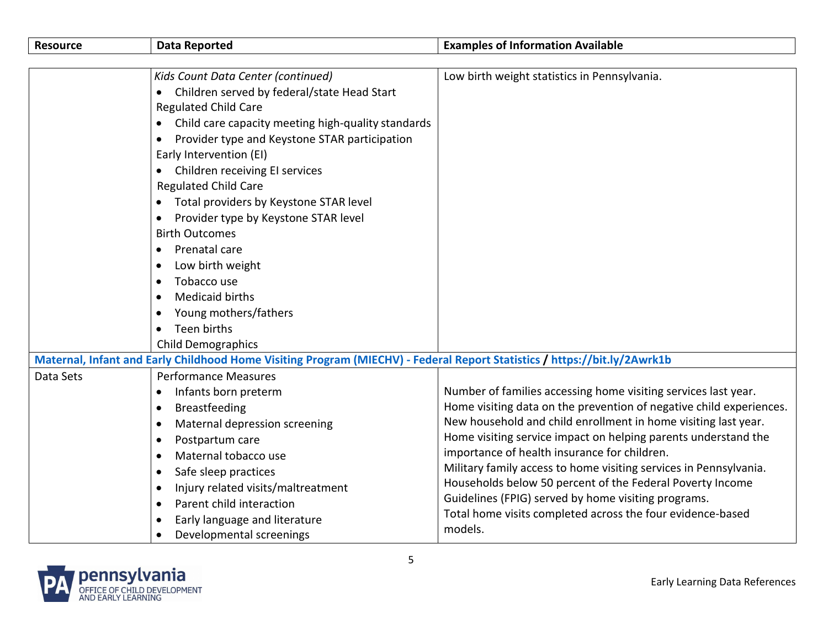| Resource  | <b>Data Reported</b>                                                                                                     | <b>Examples of Information Available</b>                            |
|-----------|--------------------------------------------------------------------------------------------------------------------------|---------------------------------------------------------------------|
|           |                                                                                                                          |                                                                     |
|           | Kids Count Data Center (continued)                                                                                       | Low birth weight statistics in Pennsylvania.                        |
|           | Children served by federal/state Head Start                                                                              |                                                                     |
|           | <b>Regulated Child Care</b>                                                                                              |                                                                     |
|           | Child care capacity meeting high-quality standards<br>$\bullet$                                                          |                                                                     |
|           | Provider type and Keystone STAR participation<br>٠                                                                       |                                                                     |
|           | Early Intervention (EI)                                                                                                  |                                                                     |
|           | Children receiving EI services                                                                                           |                                                                     |
|           | <b>Regulated Child Care</b>                                                                                              |                                                                     |
|           | Total providers by Keystone STAR level                                                                                   |                                                                     |
|           | Provider type by Keystone STAR level<br>$\bullet$                                                                        |                                                                     |
|           | <b>Birth Outcomes</b>                                                                                                    |                                                                     |
|           | Prenatal care                                                                                                            |                                                                     |
|           | Low birth weight<br>$\bullet$                                                                                            |                                                                     |
|           | Tobacco use<br>٠                                                                                                         |                                                                     |
|           | <b>Medicaid births</b><br>$\bullet$                                                                                      |                                                                     |
|           | Young mothers/fathers<br>٠                                                                                               |                                                                     |
|           | Teen births                                                                                                              |                                                                     |
|           | <b>Child Demographics</b>                                                                                                |                                                                     |
|           | Maternal, Infant and Early Childhood Home Visiting Program (MIECHV) - Federal Report Statistics / https://bit.ly/2Awrk1b |                                                                     |
| Data Sets | <b>Performance Measures</b>                                                                                              |                                                                     |
|           | Infants born preterm<br>$\bullet$                                                                                        | Number of families accessing home visiting services last year.      |
|           | Breastfeeding<br>$\bullet$                                                                                               | Home visiting data on the prevention of negative child experiences. |
|           | Maternal depression screening<br>$\bullet$                                                                               | New household and child enrollment in home visiting last year.      |
|           | Postpartum care<br>$\bullet$                                                                                             | Home visiting service impact on helping parents understand the      |
|           | Maternal tobacco use<br>$\bullet$                                                                                        | importance of health insurance for children.                        |
|           | Safe sleep practices<br>$\bullet$                                                                                        | Military family access to home visiting services in Pennsylvania.   |
|           | Injury related visits/maltreatment<br>$\bullet$                                                                          | Households below 50 percent of the Federal Poverty Income           |
|           | Parent child interaction<br>$\bullet$                                                                                    | Guidelines (FPIG) served by home visiting programs.                 |
|           | Early language and literature                                                                                            | Total home visits completed across the four evidence-based          |
|           | Developmental screenings<br>$\bullet$                                                                                    | models.                                                             |

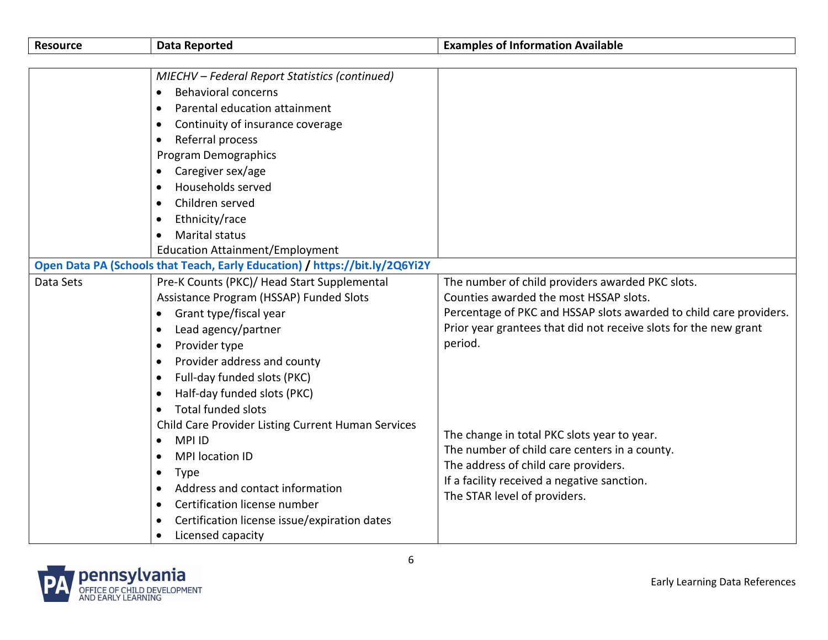| MIECHV - Federal Report Statistics (continued)<br><b>Behavioral concerns</b><br>$\bullet$<br>Parental education attainment<br>$\bullet$<br>Continuity of insurance coverage<br>$\bullet$<br>Referral process<br>$\bullet$<br><b>Program Demographics</b><br>Caregiver sex/age<br>Households served<br>$\bullet$<br>Children served<br>$\bullet$<br>Ethnicity/race<br>$\bullet$<br><b>Marital status</b><br>$\bullet$<br><b>Education Attainment/Employment</b><br>Open Data PA (Schools that Teach, Early Education) / https://bit.ly/2Q6Yi2Y<br>Pre-K Counts (PKC)/ Head Start Supplemental<br>Data Sets<br>The number of child providers awarded PKC slots.<br>Counties awarded the most HSSAP slots.<br>Assistance Program (HSSAP) Funded Slots<br>Percentage of PKC and HSSAP slots awarded to child care providers.<br>Grant type/fiscal year<br>$\bullet$<br>Prior year grantees that did not receive slots for the new grant<br>Lead agency/partner<br>$\bullet$<br>period.<br>Provider type<br>$\bullet$<br>Provider address and county<br>$\bullet$<br>Full-day funded slots (PKC)<br>$\bullet$<br>Half-day funded slots (PKC)<br>$\bullet$<br><b>Total funded slots</b><br>$\bullet$<br>Child Care Provider Listing Current Human Services<br>The change in total PKC slots year to year.<br><b>MPIID</b><br>$\bullet$<br>The number of child care centers in a county.<br><b>MPI</b> location ID<br>$\bullet$<br>The address of child care providers.<br><b>Type</b><br>$\bullet$<br>If a facility received a negative sanction.<br>Address and contact information<br>$\bullet$<br>The STAR level of providers.<br>Certification license number<br>$\bullet$<br>$\bullet$ | <b>Resource</b> | <b>Data Reported</b>                         | <b>Examples of Information Available</b> |
|---------------------------------------------------------------------------------------------------------------------------------------------------------------------------------------------------------------------------------------------------------------------------------------------------------------------------------------------------------------------------------------------------------------------------------------------------------------------------------------------------------------------------------------------------------------------------------------------------------------------------------------------------------------------------------------------------------------------------------------------------------------------------------------------------------------------------------------------------------------------------------------------------------------------------------------------------------------------------------------------------------------------------------------------------------------------------------------------------------------------------------------------------------------------------------------------------------------------------------------------------------------------------------------------------------------------------------------------------------------------------------------------------------------------------------------------------------------------------------------------------------------------------------------------------------------------------------------------------------------------------------------------------------------------------------------|-----------------|----------------------------------------------|------------------------------------------|
|                                                                                                                                                                                                                                                                                                                                                                                                                                                                                                                                                                                                                                                                                                                                                                                                                                                                                                                                                                                                                                                                                                                                                                                                                                                                                                                                                                                                                                                                                                                                                                                                                                                                                       |                 |                                              |                                          |
|                                                                                                                                                                                                                                                                                                                                                                                                                                                                                                                                                                                                                                                                                                                                                                                                                                                                                                                                                                                                                                                                                                                                                                                                                                                                                                                                                                                                                                                                                                                                                                                                                                                                                       |                 |                                              |                                          |
|                                                                                                                                                                                                                                                                                                                                                                                                                                                                                                                                                                                                                                                                                                                                                                                                                                                                                                                                                                                                                                                                                                                                                                                                                                                                                                                                                                                                                                                                                                                                                                                                                                                                                       |                 |                                              |                                          |
|                                                                                                                                                                                                                                                                                                                                                                                                                                                                                                                                                                                                                                                                                                                                                                                                                                                                                                                                                                                                                                                                                                                                                                                                                                                                                                                                                                                                                                                                                                                                                                                                                                                                                       |                 |                                              |                                          |
|                                                                                                                                                                                                                                                                                                                                                                                                                                                                                                                                                                                                                                                                                                                                                                                                                                                                                                                                                                                                                                                                                                                                                                                                                                                                                                                                                                                                                                                                                                                                                                                                                                                                                       |                 |                                              |                                          |
|                                                                                                                                                                                                                                                                                                                                                                                                                                                                                                                                                                                                                                                                                                                                                                                                                                                                                                                                                                                                                                                                                                                                                                                                                                                                                                                                                                                                                                                                                                                                                                                                                                                                                       |                 |                                              |                                          |
|                                                                                                                                                                                                                                                                                                                                                                                                                                                                                                                                                                                                                                                                                                                                                                                                                                                                                                                                                                                                                                                                                                                                                                                                                                                                                                                                                                                                                                                                                                                                                                                                                                                                                       |                 |                                              |                                          |
|                                                                                                                                                                                                                                                                                                                                                                                                                                                                                                                                                                                                                                                                                                                                                                                                                                                                                                                                                                                                                                                                                                                                                                                                                                                                                                                                                                                                                                                                                                                                                                                                                                                                                       |                 |                                              |                                          |
|                                                                                                                                                                                                                                                                                                                                                                                                                                                                                                                                                                                                                                                                                                                                                                                                                                                                                                                                                                                                                                                                                                                                                                                                                                                                                                                                                                                                                                                                                                                                                                                                                                                                                       |                 |                                              |                                          |
|                                                                                                                                                                                                                                                                                                                                                                                                                                                                                                                                                                                                                                                                                                                                                                                                                                                                                                                                                                                                                                                                                                                                                                                                                                                                                                                                                                                                                                                                                                                                                                                                                                                                                       |                 |                                              |                                          |
|                                                                                                                                                                                                                                                                                                                                                                                                                                                                                                                                                                                                                                                                                                                                                                                                                                                                                                                                                                                                                                                                                                                                                                                                                                                                                                                                                                                                                                                                                                                                                                                                                                                                                       |                 |                                              |                                          |
|                                                                                                                                                                                                                                                                                                                                                                                                                                                                                                                                                                                                                                                                                                                                                                                                                                                                                                                                                                                                                                                                                                                                                                                                                                                                                                                                                                                                                                                                                                                                                                                                                                                                                       |                 |                                              |                                          |
|                                                                                                                                                                                                                                                                                                                                                                                                                                                                                                                                                                                                                                                                                                                                                                                                                                                                                                                                                                                                                                                                                                                                                                                                                                                                                                                                                                                                                                                                                                                                                                                                                                                                                       |                 |                                              |                                          |
|                                                                                                                                                                                                                                                                                                                                                                                                                                                                                                                                                                                                                                                                                                                                                                                                                                                                                                                                                                                                                                                                                                                                                                                                                                                                                                                                                                                                                                                                                                                                                                                                                                                                                       |                 |                                              |                                          |
|                                                                                                                                                                                                                                                                                                                                                                                                                                                                                                                                                                                                                                                                                                                                                                                                                                                                                                                                                                                                                                                                                                                                                                                                                                                                                                                                                                                                                                                                                                                                                                                                                                                                                       |                 |                                              |                                          |
|                                                                                                                                                                                                                                                                                                                                                                                                                                                                                                                                                                                                                                                                                                                                                                                                                                                                                                                                                                                                                                                                                                                                                                                                                                                                                                                                                                                                                                                                                                                                                                                                                                                                                       |                 |                                              |                                          |
|                                                                                                                                                                                                                                                                                                                                                                                                                                                                                                                                                                                                                                                                                                                                                                                                                                                                                                                                                                                                                                                                                                                                                                                                                                                                                                                                                                                                                                                                                                                                                                                                                                                                                       |                 |                                              |                                          |
|                                                                                                                                                                                                                                                                                                                                                                                                                                                                                                                                                                                                                                                                                                                                                                                                                                                                                                                                                                                                                                                                                                                                                                                                                                                                                                                                                                                                                                                                                                                                                                                                                                                                                       |                 |                                              |                                          |
|                                                                                                                                                                                                                                                                                                                                                                                                                                                                                                                                                                                                                                                                                                                                                                                                                                                                                                                                                                                                                                                                                                                                                                                                                                                                                                                                                                                                                                                                                                                                                                                                                                                                                       |                 |                                              |                                          |
|                                                                                                                                                                                                                                                                                                                                                                                                                                                                                                                                                                                                                                                                                                                                                                                                                                                                                                                                                                                                                                                                                                                                                                                                                                                                                                                                                                                                                                                                                                                                                                                                                                                                                       |                 |                                              |                                          |
|                                                                                                                                                                                                                                                                                                                                                                                                                                                                                                                                                                                                                                                                                                                                                                                                                                                                                                                                                                                                                                                                                                                                                                                                                                                                                                                                                                                                                                                                                                                                                                                                                                                                                       |                 |                                              |                                          |
|                                                                                                                                                                                                                                                                                                                                                                                                                                                                                                                                                                                                                                                                                                                                                                                                                                                                                                                                                                                                                                                                                                                                                                                                                                                                                                                                                                                                                                                                                                                                                                                                                                                                                       |                 |                                              |                                          |
|                                                                                                                                                                                                                                                                                                                                                                                                                                                                                                                                                                                                                                                                                                                                                                                                                                                                                                                                                                                                                                                                                                                                                                                                                                                                                                                                                                                                                                                                                                                                                                                                                                                                                       |                 |                                              |                                          |
|                                                                                                                                                                                                                                                                                                                                                                                                                                                                                                                                                                                                                                                                                                                                                                                                                                                                                                                                                                                                                                                                                                                                                                                                                                                                                                                                                                                                                                                                                                                                                                                                                                                                                       |                 |                                              |                                          |
|                                                                                                                                                                                                                                                                                                                                                                                                                                                                                                                                                                                                                                                                                                                                                                                                                                                                                                                                                                                                                                                                                                                                                                                                                                                                                                                                                                                                                                                                                                                                                                                                                                                                                       |                 |                                              |                                          |
|                                                                                                                                                                                                                                                                                                                                                                                                                                                                                                                                                                                                                                                                                                                                                                                                                                                                                                                                                                                                                                                                                                                                                                                                                                                                                                                                                                                                                                                                                                                                                                                                                                                                                       |                 |                                              |                                          |
|                                                                                                                                                                                                                                                                                                                                                                                                                                                                                                                                                                                                                                                                                                                                                                                                                                                                                                                                                                                                                                                                                                                                                                                                                                                                                                                                                                                                                                                                                                                                                                                                                                                                                       |                 |                                              |                                          |
|                                                                                                                                                                                                                                                                                                                                                                                                                                                                                                                                                                                                                                                                                                                                                                                                                                                                                                                                                                                                                                                                                                                                                                                                                                                                                                                                                                                                                                                                                                                                                                                                                                                                                       |                 |                                              |                                          |
|                                                                                                                                                                                                                                                                                                                                                                                                                                                                                                                                                                                                                                                                                                                                                                                                                                                                                                                                                                                                                                                                                                                                                                                                                                                                                                                                                                                                                                                                                                                                                                                                                                                                                       |                 |                                              |                                          |
|                                                                                                                                                                                                                                                                                                                                                                                                                                                                                                                                                                                                                                                                                                                                                                                                                                                                                                                                                                                                                                                                                                                                                                                                                                                                                                                                                                                                                                                                                                                                                                                                                                                                                       |                 | Certification license issue/expiration dates |                                          |
| Licensed capacity<br>$\bullet$                                                                                                                                                                                                                                                                                                                                                                                                                                                                                                                                                                                                                                                                                                                                                                                                                                                                                                                                                                                                                                                                                                                                                                                                                                                                                                                                                                                                                                                                                                                                                                                                                                                        |                 |                                              |                                          |

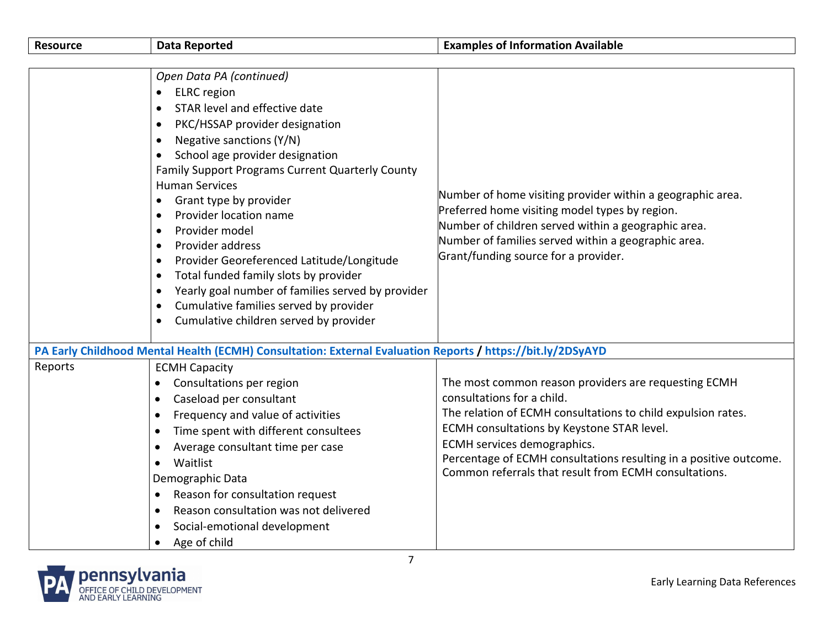| <b>Resource</b> | <b>Data Reported</b>                                                                                                                                                                                                                                                                                                                                                                                                                                                                                                                                                                                                                                                                                                                                                   | <b>Examples of Information Available</b>                                                                                                                                                                                                                                                                                                                      |
|-----------------|------------------------------------------------------------------------------------------------------------------------------------------------------------------------------------------------------------------------------------------------------------------------------------------------------------------------------------------------------------------------------------------------------------------------------------------------------------------------------------------------------------------------------------------------------------------------------------------------------------------------------------------------------------------------------------------------------------------------------------------------------------------------|---------------------------------------------------------------------------------------------------------------------------------------------------------------------------------------------------------------------------------------------------------------------------------------------------------------------------------------------------------------|
|                 | Open Data PA (continued)<br><b>ELRC</b> region<br>$\bullet$<br>STAR level and effective date<br>PKC/HSSAP provider designation<br>$\bullet$<br>Negative sanctions (Y/N)<br>$\bullet$<br>School age provider designation<br>$\bullet$<br><b>Family Support Programs Current Quarterly County</b><br><b>Human Services</b><br>Grant type by provider<br>$\bullet$<br>Provider location name<br>$\bullet$<br>Provider model<br>$\bullet$<br>Provider address<br>$\bullet$<br>Provider Georeferenced Latitude/Longitude<br>$\bullet$<br>Total funded family slots by provider<br>$\bullet$<br>Yearly goal number of families served by provider<br>$\bullet$<br>Cumulative families served by provider<br>$\bullet$<br>Cumulative children served by provider<br>$\bullet$ | Number of home visiting provider within a geographic area.<br>Preferred home visiting model types by region.<br>Number of children served within a geographic area.<br>Number of families served within a geographic area.<br>Grant/funding source for a provider.                                                                                            |
|                 | PA Early Childhood Mental Health (ECMH) Consultation: External Evaluation Reports / https://bit.ly/2DSyAYD                                                                                                                                                                                                                                                                                                                                                                                                                                                                                                                                                                                                                                                             |                                                                                                                                                                                                                                                                                                                                                               |
| Reports         | <b>ECMH Capacity</b><br>Consultations per region<br>$\bullet$<br>Caseload per consultant<br>$\bullet$<br>Frequency and value of activities<br>$\bullet$<br>Time spent with different consultees<br>$\bullet$<br>Average consultant time per case<br>$\bullet$<br>Waitlist<br>$\bullet$<br>Demographic Data<br>Reason for consultation request<br>$\bullet$<br>Reason consultation was not delivered<br>$\bullet$<br>Social-emotional development<br>$\bullet$<br>Age of child<br>$\bullet$                                                                                                                                                                                                                                                                             | The most common reason providers are requesting ECMH<br>consultations for a child.<br>The relation of ECMH consultations to child expulsion rates.<br>ECMH consultations by Keystone STAR level.<br>ECMH services demographics.<br>Percentage of ECMH consultations resulting in a positive outcome.<br>Common referrals that result from ECMH consultations. |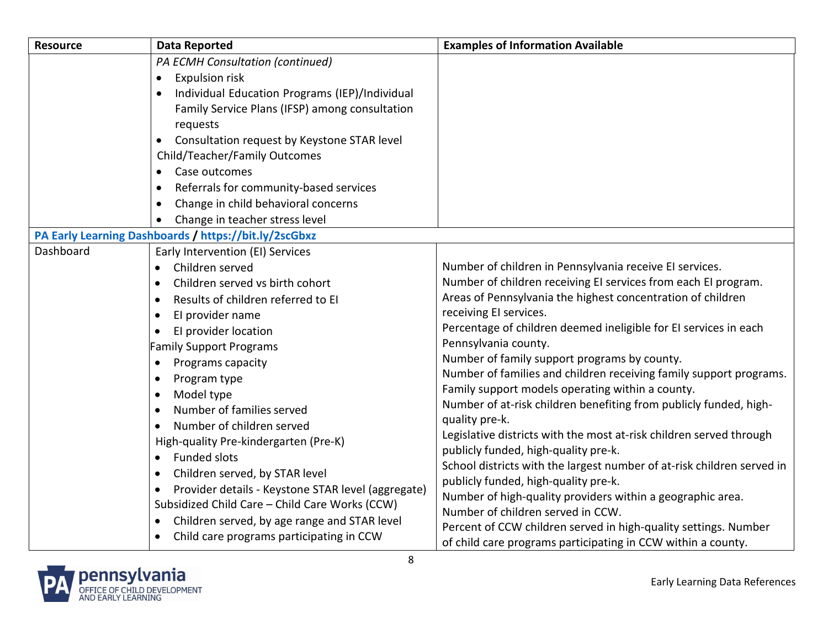| <b>Resource</b> | <b>Data Reported</b>                                                                                                                                                                                                                                                                                                                                                                                                                                                                                                                                                                                                                                                                                                                          | <b>Examples of Information Available</b>                                                                                                                                                                                                                                                                                                                                                                                                                                                                                                                                                                                                                                                                                                                                                                                                                                                                            |
|-----------------|-----------------------------------------------------------------------------------------------------------------------------------------------------------------------------------------------------------------------------------------------------------------------------------------------------------------------------------------------------------------------------------------------------------------------------------------------------------------------------------------------------------------------------------------------------------------------------------------------------------------------------------------------------------------------------------------------------------------------------------------------|---------------------------------------------------------------------------------------------------------------------------------------------------------------------------------------------------------------------------------------------------------------------------------------------------------------------------------------------------------------------------------------------------------------------------------------------------------------------------------------------------------------------------------------------------------------------------------------------------------------------------------------------------------------------------------------------------------------------------------------------------------------------------------------------------------------------------------------------------------------------------------------------------------------------|
|                 | PA ECMH Consultation (continued)<br><b>Expulsion risk</b><br>$\bullet$<br>Individual Education Programs (IEP)/Individual<br>Family Service Plans (IFSP) among consultation<br>requests<br>Consultation request by Keystone STAR level<br>$\bullet$<br>Child/Teacher/Family Outcomes<br>Case outcomes<br>$\bullet$<br>Referrals for community-based services<br>$\bullet$<br>Change in child behavioral concerns<br>$\bullet$<br>Change in teacher stress level<br>$\bullet$                                                                                                                                                                                                                                                                   |                                                                                                                                                                                                                                                                                                                                                                                                                                                                                                                                                                                                                                                                                                                                                                                                                                                                                                                     |
|                 | PA Early Learning Dashboards / https://bit.ly/2scGbxz                                                                                                                                                                                                                                                                                                                                                                                                                                                                                                                                                                                                                                                                                         |                                                                                                                                                                                                                                                                                                                                                                                                                                                                                                                                                                                                                                                                                                                                                                                                                                                                                                                     |
| Dashboard       | Early Intervention (EI) Services<br>Children served<br>$\bullet$<br>Children served vs birth cohort<br>$\bullet$<br>Results of children referred to EI<br>$\bullet$<br>El provider name<br>$\bullet$<br>El provider location<br><b>Family Support Programs</b><br>Programs capacity<br>$\bullet$<br>Program type<br>$\bullet$<br>Model type<br>$\bullet$<br>Number of families served<br>$\bullet$<br>Number of children served<br>$\bullet$<br>High-quality Pre-kindergarten (Pre-K)<br><b>Funded slots</b><br>Children served, by STAR level<br>$\bullet$<br>Provider details - Keystone STAR level (aggregate)<br>$\bullet$<br>Subsidized Child Care - Child Care Works (CCW)<br>Children served, by age range and STAR level<br>$\bullet$ | Number of children in Pennsylvania receive EI services.<br>Number of children receiving EI services from each EI program.<br>Areas of Pennsylvania the highest concentration of children<br>receiving El services.<br>Percentage of children deemed ineligible for EI services in each<br>Pennsylvania county.<br>Number of family support programs by county.<br>Number of families and children receiving family support programs.<br>Family support models operating within a county.<br>Number of at-risk children benefiting from publicly funded, high-<br>quality pre-k.<br>Legislative districts with the most at-risk children served through<br>publicly funded, high-quality pre-k.<br>School districts with the largest number of at-risk children served in<br>publicly funded, high-quality pre-k.<br>Number of high-quality providers within a geographic area.<br>Number of children served in CCW. |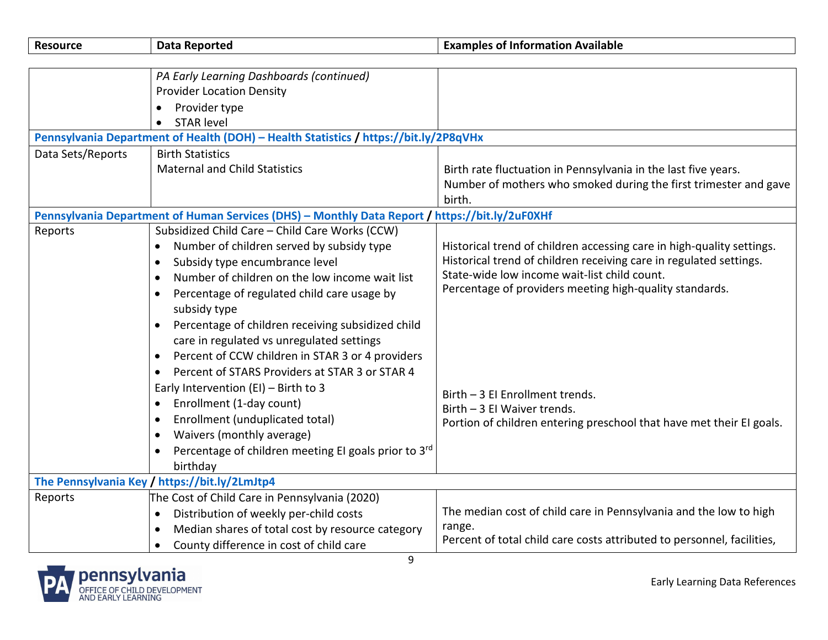| <b>Resource</b>   | <b>Data Reported</b>                                                                           | <b>Examples of Information Available</b>                               |
|-------------------|------------------------------------------------------------------------------------------------|------------------------------------------------------------------------|
|                   |                                                                                                |                                                                        |
|                   | PA Early Learning Dashboards (continued)                                                       |                                                                        |
|                   | <b>Provider Location Density</b>                                                               |                                                                        |
|                   | Provider type                                                                                  |                                                                        |
|                   | <b>STAR level</b>                                                                              |                                                                        |
|                   | Pennsylvania Department of Health (DOH) - Health Statistics / https://bit.ly/2P8qVHx           |                                                                        |
| Data Sets/Reports | <b>Birth Statistics</b>                                                                        |                                                                        |
|                   | <b>Maternal and Child Statistics</b>                                                           | Birth rate fluctuation in Pennsylvania in the last five years.         |
|                   |                                                                                                | Number of mothers who smoked during the first trimester and gave       |
|                   |                                                                                                | birth.                                                                 |
|                   | Pennsylvania Department of Human Services (DHS) - Monthly Data Report / https://bit.ly/2uF0XHf |                                                                        |
| Reports           | Subsidized Child Care - Child Care Works (CCW)                                                 |                                                                        |
|                   | Number of children served by subsidy type                                                      | Historical trend of children accessing care in high-quality settings.  |
|                   | Subsidy type encumbrance level<br>$\bullet$                                                    | Historical trend of children receiving care in regulated settings.     |
|                   | Number of children on the low income wait list<br>$\bullet$                                    | State-wide low income wait-list child count.                           |
|                   | Percentage of regulated child care usage by                                                    | Percentage of providers meeting high-quality standards.                |
|                   | subsidy type                                                                                   |                                                                        |
|                   | Percentage of children receiving subsidized child                                              |                                                                        |
|                   | care in regulated vs unregulated settings                                                      |                                                                        |
|                   | Percent of CCW children in STAR 3 or 4 providers                                               |                                                                        |
|                   | Percent of STARS Providers at STAR 3 or STAR 4<br>$\bullet$                                    |                                                                        |
|                   | Early Intervention (EI) - Birth to 3                                                           |                                                                        |
|                   | Enrollment (1-day count)<br>$\bullet$                                                          | Birth - 3 EI Enrollment trends.<br>Birth - 3 El Waiver trends.         |
|                   | Enrollment (unduplicated total)                                                                | Portion of children entering preschool that have met their EI goals.   |
|                   | Waivers (monthly average)                                                                      |                                                                        |
|                   | Percentage of children meeting EI goals prior to 3rd                                           |                                                                        |
|                   | birthday                                                                                       |                                                                        |
|                   | The Pennsylvania Key / https://bit.ly/2LmJtp4                                                  |                                                                        |
| Reports           | The Cost of Child Care in Pennsylvania (2020)                                                  |                                                                        |
|                   | Distribution of weekly per-child costs<br>$\bullet$                                            | The median cost of child care in Pennsylvania and the low to high      |
|                   | Median shares of total cost by resource category<br>$\bullet$                                  | range.                                                                 |
|                   | County difference in cost of child care                                                        | Percent of total child care costs attributed to personnel, facilities, |
|                   | $\sim$                                                                                         |                                                                        |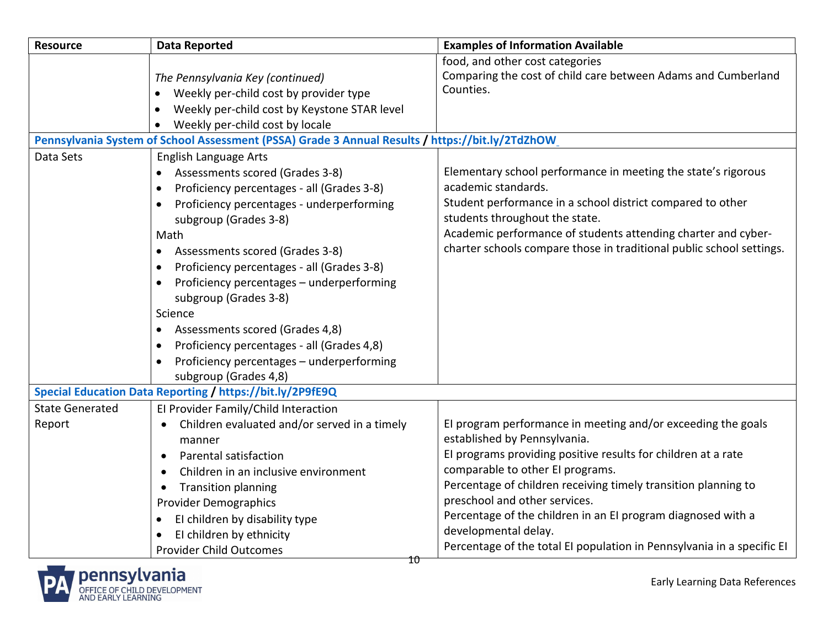| <b>Resource</b>                  | <b>Data Reported</b>                                                                                                                                                                                                                                                                                                                                                                                                                                                                                                                                                                  | <b>Examples of Information Available</b>                                                                                                                                                                                                                                                                                                                                                                                                                               |
|----------------------------------|---------------------------------------------------------------------------------------------------------------------------------------------------------------------------------------------------------------------------------------------------------------------------------------------------------------------------------------------------------------------------------------------------------------------------------------------------------------------------------------------------------------------------------------------------------------------------------------|------------------------------------------------------------------------------------------------------------------------------------------------------------------------------------------------------------------------------------------------------------------------------------------------------------------------------------------------------------------------------------------------------------------------------------------------------------------------|
|                                  | The Pennsylvania Key (continued)<br>Weekly per-child cost by provider type<br>Weekly per-child cost by Keystone STAR level<br>$\bullet$                                                                                                                                                                                                                                                                                                                                                                                                                                               | food, and other cost categories<br>Comparing the cost of child care between Adams and Cumberland<br>Counties.                                                                                                                                                                                                                                                                                                                                                          |
|                                  | Weekly per-child cost by locale<br>$\bullet$                                                                                                                                                                                                                                                                                                                                                                                                                                                                                                                                          |                                                                                                                                                                                                                                                                                                                                                                                                                                                                        |
|                                  | Pennsylvania System of School Assessment (PSSA) Grade 3 Annual Results / https://bit.ly/2TdZhOW                                                                                                                                                                                                                                                                                                                                                                                                                                                                                       |                                                                                                                                                                                                                                                                                                                                                                                                                                                                        |
| Data Sets                        | <b>English Language Arts</b><br>Assessments scored (Grades 3-8)<br>Proficiency percentages - all (Grades 3-8)<br>$\bullet$<br>Proficiency percentages - underperforming<br>$\bullet$<br>subgroup (Grades 3-8)<br>Math<br>Assessments scored (Grades 3-8)<br>Proficiency percentages - all (Grades 3-8)<br>$\bullet$<br>Proficiency percentages - underperforming<br>subgroup (Grades 3-8)<br>Science<br>Assessments scored (Grades 4,8)<br>$\bullet$<br>Proficiency percentages - all (Grades 4,8)<br>$\bullet$<br>Proficiency percentages - underperforming<br>subgroup (Grades 4,8) | Elementary school performance in meeting the state's rigorous<br>academic standards.<br>Student performance in a school district compared to other<br>students throughout the state.<br>Academic performance of students attending charter and cyber-<br>charter schools compare those in traditional public school settings.                                                                                                                                          |
|                                  | Special Education Data Reporting / https://bit.ly/2P9fE9Q                                                                                                                                                                                                                                                                                                                                                                                                                                                                                                                             |                                                                                                                                                                                                                                                                                                                                                                                                                                                                        |
| <b>State Generated</b><br>Report | El Provider Family/Child Interaction<br>Children evaluated and/or served in a timely<br>manner<br>Parental satisfaction<br>Children in an inclusive environment<br><b>Transition planning</b><br>$\bullet$<br><b>Provider Demographics</b><br>El children by disability type<br>El children by ethnicity<br><b>Provider Child Outcomes</b><br>10                                                                                                                                                                                                                                      | El program performance in meeting and/or exceeding the goals<br>established by Pennsylvania.<br>EI programs providing positive results for children at a rate<br>comparable to other EI programs.<br>Percentage of children receiving timely transition planning to<br>preschool and other services.<br>Percentage of the children in an EI program diagnosed with a<br>developmental delay.<br>Percentage of the total EI population in Pennsylvania in a specific EI |

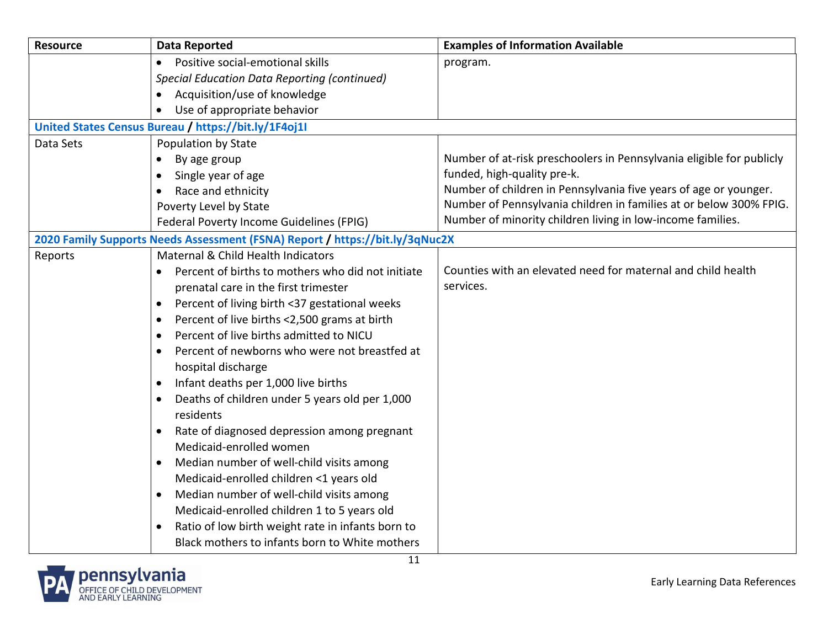| <b>Resource</b> | <b>Data Reported</b>                                                         | <b>Examples of Information Available</b>                             |
|-----------------|------------------------------------------------------------------------------|----------------------------------------------------------------------|
|                 | Positive social-emotional skills<br>$\bullet$                                | program.                                                             |
|                 | <b>Special Education Data Reporting (continued)</b>                          |                                                                      |
|                 | Acquisition/use of knowledge                                                 |                                                                      |
|                 | Use of appropriate behavior                                                  |                                                                      |
|                 | United States Census Bureau / https://bit.ly/1F4oj1I                         |                                                                      |
| Data Sets       | Population by State                                                          |                                                                      |
|                 | By age group<br>$\bullet$                                                    | Number of at-risk preschoolers in Pennsylvania eligible for publicly |
|                 | Single year of age<br>$\bullet$                                              | funded, high-quality pre-k.                                          |
|                 | Race and ethnicity                                                           | Number of children in Pennsylvania five years of age or younger.     |
|                 | Poverty Level by State                                                       | Number of Pennsylvania children in families at or below 300% FPIG.   |
|                 | Federal Poverty Income Guidelines (FPIG)                                     | Number of minority children living in low-income families.           |
|                 | 2020 Family Supports Needs Assessment (FSNA) Report / https://bit.ly/3qNuc2X |                                                                      |
| Reports         | Maternal & Child Health Indicators                                           |                                                                      |
|                 | Percent of births to mothers who did not initiate<br>$\bullet$               | Counties with an elevated need for maternal and child health         |
|                 | prenatal care in the first trimester                                         | services.                                                            |
|                 | Percent of living birth <37 gestational weeks<br>$\bullet$                   |                                                                      |
|                 | Percent of live births <2,500 grams at birth<br>$\bullet$                    |                                                                      |
|                 | Percent of live births admitted to NICU<br>$\bullet$                         |                                                                      |
|                 | Percent of newborns who were not breastfed at                                |                                                                      |
|                 | hospital discharge                                                           |                                                                      |
|                 | Infant deaths per 1,000 live births<br>$\bullet$                             |                                                                      |
|                 | Deaths of children under 5 years old per 1,000<br>residents                  |                                                                      |
|                 | Rate of diagnosed depression among pregnant<br>$\bullet$                     |                                                                      |
|                 | Medicaid-enrolled women                                                      |                                                                      |
|                 | Median number of well-child visits among<br>$\bullet$                        |                                                                      |
|                 | Medicaid-enrolled children <1 years old                                      |                                                                      |
|                 | Median number of well-child visits among<br>$\bullet$                        |                                                                      |
|                 | Medicaid-enrolled children 1 to 5 years old                                  |                                                                      |
|                 | Ratio of low birth weight rate in infants born to                            |                                                                      |
|                 | Black mothers to infants born to White mothers                               |                                                                      |
|                 | 11                                                                           |                                                                      |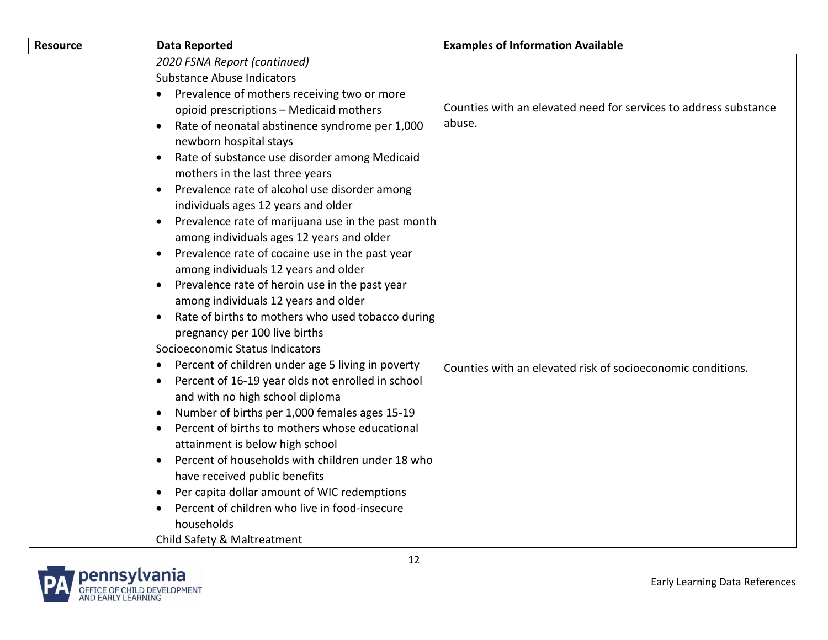| Resource | <b>Data Reported</b>                                            | <b>Examples of Information Available</b>                         |
|----------|-----------------------------------------------------------------|------------------------------------------------------------------|
|          | 2020 FSNA Report (continued)                                    |                                                                  |
|          | <b>Substance Abuse Indicators</b>                               |                                                                  |
|          | Prevalence of mothers receiving two or more<br>$\bullet$        |                                                                  |
|          | opioid prescriptions - Medicaid mothers                         | Counties with an elevated need for services to address substance |
|          | Rate of neonatal abstinence syndrome per 1,000                  | abuse.                                                           |
|          | newborn hospital stays                                          |                                                                  |
|          | Rate of substance use disorder among Medicaid<br>$\bullet$      |                                                                  |
|          | mothers in the last three years                                 |                                                                  |
|          | Prevalence rate of alcohol use disorder among                   |                                                                  |
|          | individuals ages 12 years and older                             |                                                                  |
|          | Prevalence rate of marijuana use in the past month<br>$\bullet$ |                                                                  |
|          | among individuals ages 12 years and older                       |                                                                  |
|          | Prevalence rate of cocaine use in the past year<br>$\bullet$    |                                                                  |
|          | among individuals 12 years and older                            |                                                                  |
|          | Prevalence rate of heroin use in the past year                  |                                                                  |
|          | among individuals 12 years and older                            |                                                                  |
|          | Rate of births to mothers who used tobacco during               |                                                                  |
|          | pregnancy per 100 live births                                   |                                                                  |
|          | Socioeconomic Status Indicators                                 |                                                                  |
|          | Percent of children under age 5 living in poverty<br>$\bullet$  | Counties with an elevated risk of socioeconomic conditions.      |
|          | Percent of 16-19 year olds not enrolled in school<br>$\bullet$  |                                                                  |
|          | and with no high school diploma                                 |                                                                  |
|          | Number of births per 1,000 females ages 15-19<br>$\bullet$      |                                                                  |
|          | Percent of births to mothers whose educational<br>$\bullet$     |                                                                  |
|          | attainment is below high school                                 |                                                                  |
|          | Percent of households with children under 18 who<br>$\bullet$   |                                                                  |
|          | have received public benefits                                   |                                                                  |
|          | Per capita dollar amount of WIC redemptions                     |                                                                  |
|          | Percent of children who live in food-insecure<br>$\bullet$      |                                                                  |
|          | households                                                      |                                                                  |
|          | Child Safety & Maltreatment                                     |                                                                  |

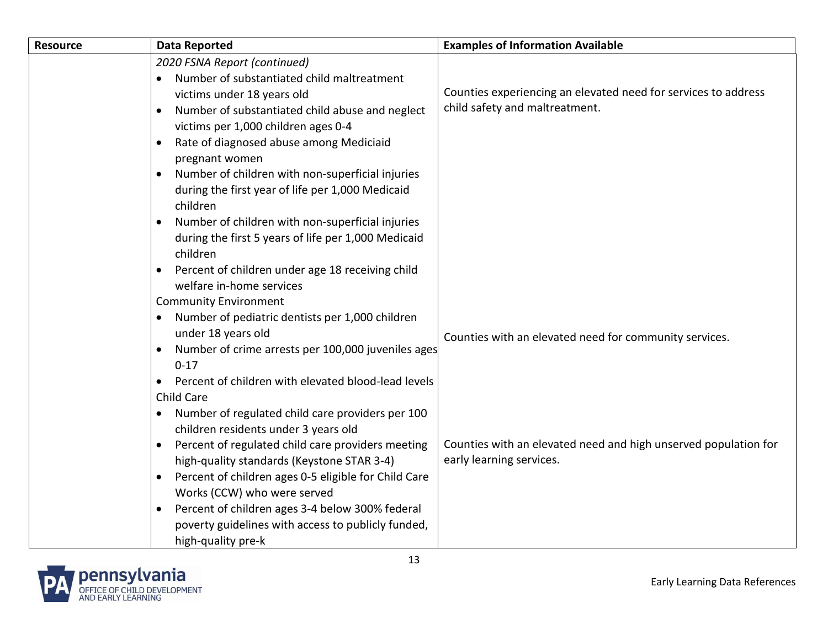| <b>Resource</b> | Data Reported                                                               | <b>Examples of Information Available</b>                        |
|-----------------|-----------------------------------------------------------------------------|-----------------------------------------------------------------|
|                 | 2020 FSNA Report (continued)                                                |                                                                 |
|                 | Number of substantiated child maltreatment                                  |                                                                 |
|                 | victims under 18 years old                                                  | Counties experiencing an elevated need for services to address  |
|                 | Number of substantiated child abuse and neglect<br>$\bullet$                | child safety and maltreatment.                                  |
|                 | victims per 1,000 children ages 0-4                                         |                                                                 |
|                 | Rate of diagnosed abuse among Mediciaid<br>$\bullet$                        |                                                                 |
|                 | pregnant women                                                              |                                                                 |
|                 | Number of children with non-superficial injuries<br>$\bullet$               |                                                                 |
|                 | during the first year of life per 1,000 Medicaid                            |                                                                 |
|                 | children                                                                    |                                                                 |
|                 | Number of children with non-superficial injuries                            |                                                                 |
|                 | during the first 5 years of life per 1,000 Medicaid                         |                                                                 |
|                 | children                                                                    |                                                                 |
|                 | Percent of children under age 18 receiving child                            |                                                                 |
|                 | welfare in-home services                                                    |                                                                 |
|                 | <b>Community Environment</b>                                                |                                                                 |
|                 | Number of pediatric dentists per 1,000 children<br>$\bullet$                |                                                                 |
|                 | under 18 years old                                                          | Counties with an elevated need for community services.          |
|                 | Number of crime arrests per 100,000 juveniles ages<br>$\bullet$<br>$0 - 17$ |                                                                 |
|                 | Percent of children with elevated blood-lead levels                         |                                                                 |
|                 | <b>Child Care</b>                                                           |                                                                 |
|                 | Number of regulated child care providers per 100                            |                                                                 |
|                 | children residents under 3 years old                                        |                                                                 |
|                 | Percent of regulated child care providers meeting                           | Counties with an elevated need and high unserved population for |
|                 | high-quality standards (Keystone STAR 3-4)                                  | early learning services.                                        |
|                 | Percent of children ages 0-5 eligible for Child Care<br>$\bullet$           |                                                                 |
|                 | Works (CCW) who were served                                                 |                                                                 |
|                 | Percent of children ages 3-4 below 300% federal                             |                                                                 |
|                 | poverty guidelines with access to publicly funded,                          |                                                                 |
|                 | high-quality pre-k                                                          |                                                                 |

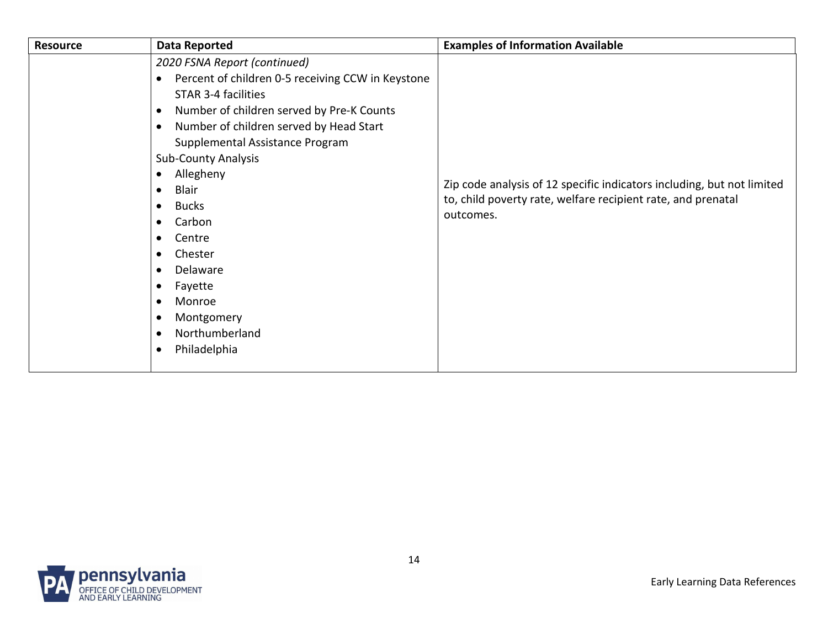| <b>Resource</b> | <b>Data Reported</b>                                                                                                                                                                                                                                                                                                                                                                                                                                                                                                                                                                                                              | <b>Examples of Information Available</b>                                                                                                            |
|-----------------|-----------------------------------------------------------------------------------------------------------------------------------------------------------------------------------------------------------------------------------------------------------------------------------------------------------------------------------------------------------------------------------------------------------------------------------------------------------------------------------------------------------------------------------------------------------------------------------------------------------------------------------|-----------------------------------------------------------------------------------------------------------------------------------------------------|
|                 | 2020 FSNA Report (continued)<br>Percent of children 0-5 receiving CCW in Keystone<br>$\bullet$<br><b>STAR 3-4 facilities</b><br>Number of children served by Pre-K Counts<br>$\bullet$<br>Number of children served by Head Start<br>$\bullet$<br>Supplemental Assistance Program<br><b>Sub-County Analysis</b><br>Allegheny<br>$\bullet$<br>Blair<br>$\bullet$<br><b>Bucks</b><br>$\bullet$<br>Carbon<br>$\bullet$<br>Centre<br>$\bullet$<br>Chester<br>$\bullet$<br>Delaware<br>$\bullet$<br>Fayette<br>$\bullet$<br>Monroe<br>$\bullet$<br>Montgomery<br>$\bullet$<br>Northumberland<br>$\bullet$<br>Philadelphia<br>$\bullet$ | Zip code analysis of 12 specific indicators including, but not limited<br>to, child poverty rate, welfare recipient rate, and prenatal<br>outcomes. |
|                 |                                                                                                                                                                                                                                                                                                                                                                                                                                                                                                                                                                                                                                   |                                                                                                                                                     |